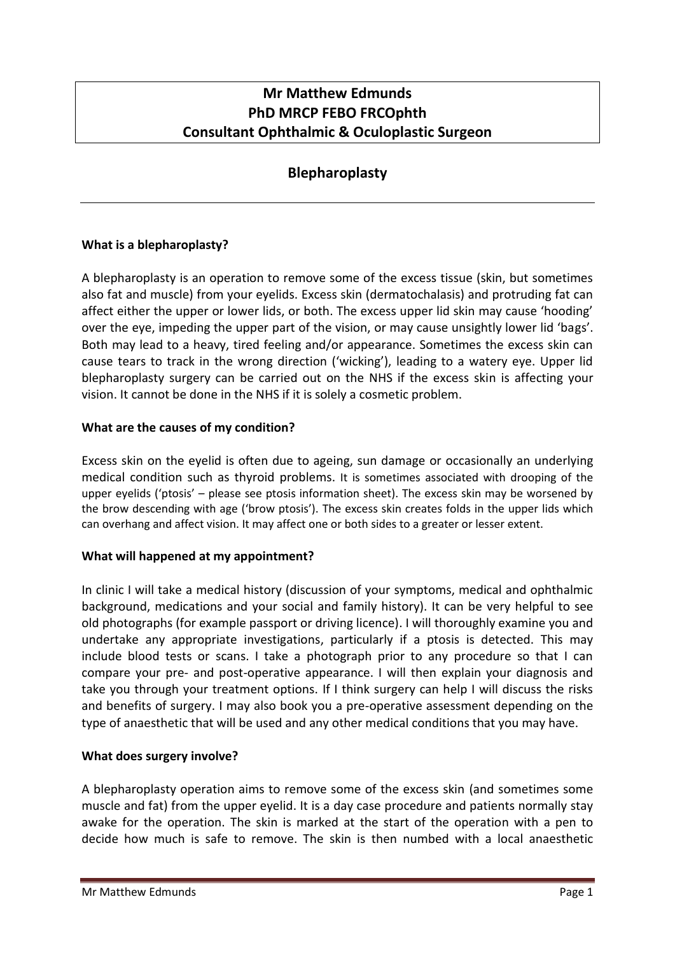# **Mr Matthew Edmunds PhD MRCP FEBO FRCOphth Consultant Ophthalmic & Oculoplastic Surgeon**

# **Blepharoplasty**

# **What is a blepharoplasty?**

A blepharoplasty is an operation to remove some of the excess tissue (skin, but sometimes also fat and muscle) from your eyelids. Excess skin (dermatochalasis) and protruding fat can affect either the upper or lower lids, or both. The excess upper lid skin may cause 'hooding' over the eye, impeding the upper part of the vision, or may cause unsightly lower lid 'bags'. Both may lead to a heavy, tired feeling and/or appearance. Sometimes the excess skin can cause tears to track in the wrong direction ('wicking'), leading to a watery eye. Upper lid blepharoplasty surgery can be carried out on the NHS if the excess skin is affecting your vision. It cannot be done in the NHS if it is solely a cosmetic problem.

### **What are the causes of my condition?**

Excess skin on the eyelid is often due to ageing, sun damage or occasionally an underlying medical condition such as thyroid problems. It is sometimes associated with drooping of the upper eyelids ('ptosis' – please see ptosis information sheet). The excess skin may be worsened by the brow descending with age ('brow ptosis'). The excess skin creates folds in the upper lids which can overhang and affect vision. It may affect one or both sides to a greater or lesser extent.

# **What will happened at my appointment?**

In clinic I will take a medical history (discussion of your symptoms, medical and ophthalmic background, medications and your social and family history). It can be very helpful to see old photographs (for example passport or driving licence). I will thoroughly examine you and undertake any appropriate investigations, particularly if a ptosis is detected. This may include blood tests or scans. I take a photograph prior to any procedure so that I can compare your pre- and post-operative appearance. I will then explain your diagnosis and take you through your treatment options. If I think surgery can help I will discuss the risks and benefits of surgery. I may also book you a pre-operative assessment depending on the type of anaesthetic that will be used and any other medical conditions that you may have.

# **What does surgery involve?**

A blepharoplasty operation aims to remove some of the excess skin (and sometimes some muscle and fat) from the upper eyelid. It is a day case procedure and patients normally stay awake for the operation. The skin is marked at the start of the operation with a pen to decide how much is safe to remove. The skin is then numbed with a local anaesthetic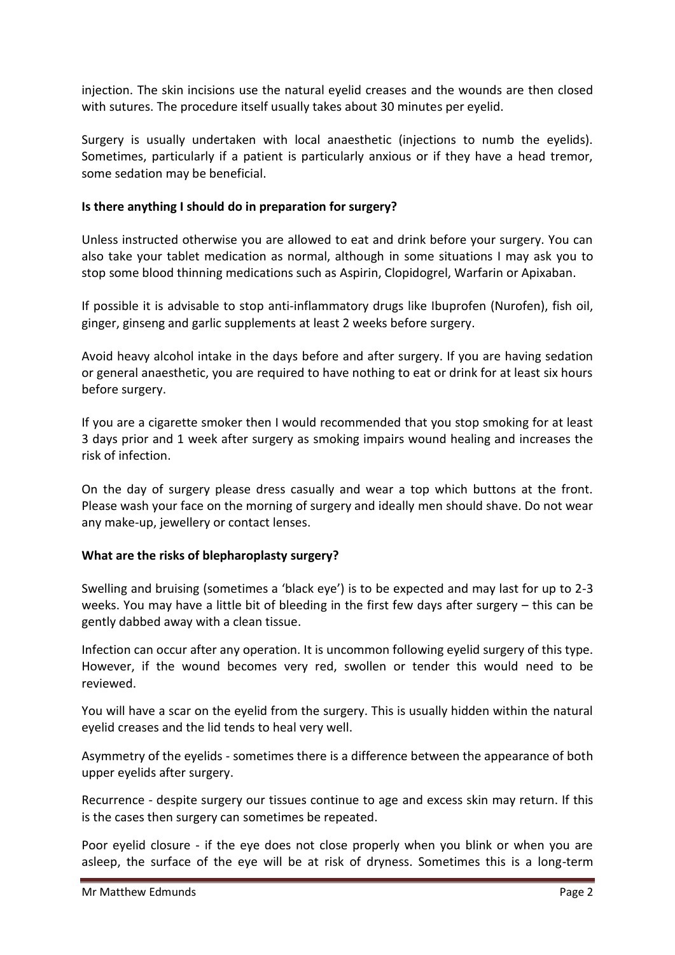injection. The skin incisions use the natural eyelid creases and the wounds are then closed with sutures. The procedure itself usually takes about 30 minutes per eyelid.

Surgery is usually undertaken with local anaesthetic (injections to numb the eyelids). Sometimes, particularly if a patient is particularly anxious or if they have a head tremor, some sedation may be beneficial.

### **Is there anything I should do in preparation for surgery?**

Unless instructed otherwise you are allowed to eat and drink before your surgery. You can also take your tablet medication as normal, although in some situations I may ask you to stop some blood thinning medications such as Aspirin, Clopidogrel, Warfarin or Apixaban.

If possible it is advisable to stop anti-inflammatory drugs like Ibuprofen (Nurofen), fish oil, ginger, ginseng and garlic supplements at least 2 weeks before surgery.

Avoid heavy alcohol intake in the days before and after surgery. If you are having sedation or general anaesthetic, you are required to have nothing to eat or drink for at least six hours before surgery.

If you are a cigarette smoker then I would recommended that you stop smoking for at least 3 days prior and 1 week after surgery as smoking impairs wound healing and increases the risk of infection.

On the day of surgery please dress casually and wear a top which buttons at the front. Please wash your face on the morning of surgery and ideally men should shave. Do not wear any make-up, jewellery or contact lenses.

#### **What are the risks of blepharoplasty surgery?**

Swelling and bruising (sometimes a 'black eye') is to be expected and may last for up to 2-3 weeks. You may have a little bit of bleeding in the first few days after surgery – this can be gently dabbed away with a clean tissue.

Infection can occur after any operation. It is uncommon following eyelid surgery of this type. However, if the wound becomes very red, swollen or tender this would need to be reviewed.

You will have a scar on the eyelid from the surgery. This is usually hidden within the natural eyelid creases and the lid tends to heal very well.

Asymmetry of the eyelids - sometimes there is a difference between the appearance of both upper eyelids after surgery.

Recurrence - despite surgery our tissues continue to age and excess skin may return. If this is the cases then surgery can sometimes be repeated.

Poor eyelid closure - if the eye does not close properly when you blink or when you are asleep, the surface of the eye will be at risk of dryness. Sometimes this is a long-term